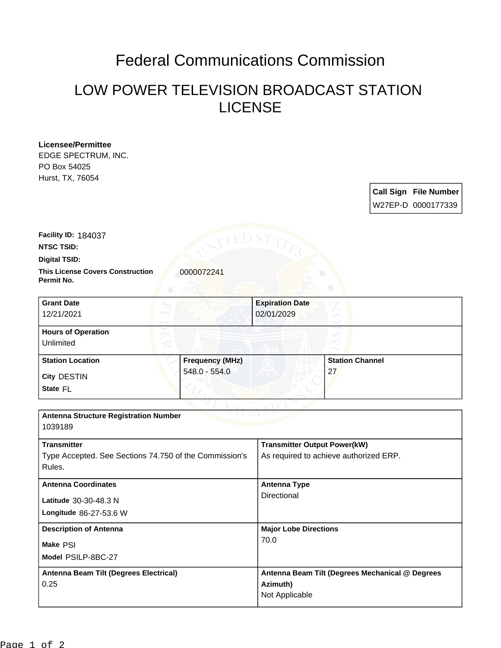## Federal Communications Commission

## LOW POWER TELEVISION BROADCAST STATION LICENSE

**Licensee/Permittee** EDGE SPECTRUM, INC. PO Box 54025 Hurst, TX, 76054

> **Call Sign File Number** W27EP-D 0000177339

**Facility ID:** 184037

**NTSC TSID:**

**Digital TSID:**

**This License Covers Construction** 0000072241 **Permit No.**

**State** FL **City** DESTIN **Grant Date** 12/21/2021 **Expiration Date** 02/01/2029 **Hours of Operation** Unlimited **Station Location Frequency (MHz)** 548.0 - 554.0 **Station Channel** 27

| <b>Antenna Structure Registration Number</b><br>1039189 |                                                 |
|---------------------------------------------------------|-------------------------------------------------|
|                                                         |                                                 |
| <b>Transmitter</b>                                      | <b>Transmitter Output Power(kW)</b>             |
| Type Accepted. See Sections 74.750 of the Commission's  | As required to achieve authorized ERP.          |
| Rules.                                                  |                                                 |
| <b>Antenna Coordinates</b>                              | Antenna Type                                    |
| Latitude 30-30-48.3 N                                   | Directional                                     |
| Longitude 86-27-53.6 W                                  |                                                 |
| <b>Description of Antenna</b>                           | <b>Major Lobe Directions</b>                    |
| Make PSI                                                | 70.0                                            |
| Model PSILP-8BC-27                                      |                                                 |
| Antenna Beam Tilt (Degrees Electrical)                  | Antenna Beam Tilt (Degrees Mechanical @ Degrees |
| 0.25                                                    | Azimuth)                                        |
|                                                         | Not Applicable                                  |